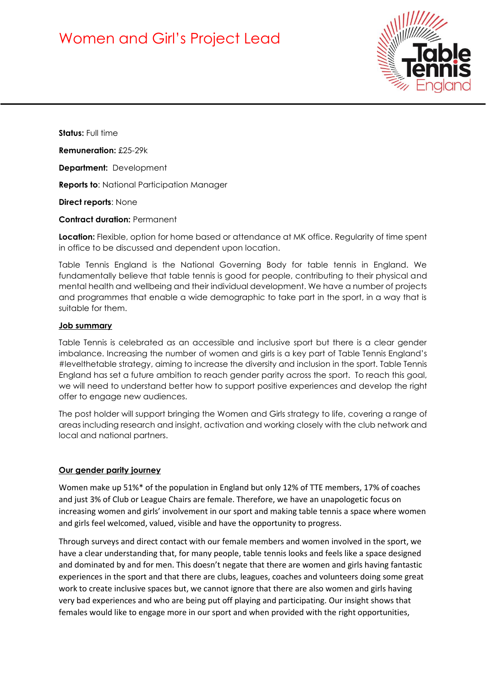# Women and Girl's Project Lead



**Status:** Full time

**Remuneration:** £25-29k

**Department:** Development

**Reports to**: National Participation Manager

**Direct reports**: None

#### **Contract duration:** Permanent

**Location:** Flexible, option for home based or attendance at MK office. Regularity of time spent in office to be discussed and dependent upon location.

Table Tennis England is the National Governing Body for table tennis in England. We fundamentally believe that table tennis is good for people, contributing to their physical and mental health and wellbeing and their individual development. We have a number of projects and programmes that enable a wide demographic to take part in the sport, in a way that is suitable for them.

#### **Job summary**

Table Tennis is celebrated as an accessible and inclusive sport but there is a clear gender imbalance. Increasing the number of women and girls is a key part of Table Tennis England's #levelthetable strategy, aiming to increase the diversity and inclusion in the sport. Table Tennis England has set a future ambition to reach gender parity across the sport. To reach this goal, we will need to understand better how to support positive experiences and develop the right offer to engage new audiences.

The post holder will support bringing the Women and Girls strategy to life, covering a range of areas including research and insight, activation and working closely with the club network and local and national partners.

### **Our gender parity journey**

Women make up 51%\* of the population in England but only 12% of TTE members, 17% of coaches and just 3% of Club or League Chairs are female. Therefore, we have an unapologetic focus on increasing women and girls' involvement in our sport and making table tennis a space where women and girls feel welcomed, valued, visible and have the opportunity to progress.

Through surveys and direct contact with our female members and women involved in the sport, we have a clear understanding that, for many people, table tennis looks and feels like a space designed and dominated by and for men. This doesn't negate that there are women and girls having fantastic experiences in the sport and that there are clubs, leagues, coaches and volunteers doing some great work to create inclusive spaces but, we cannot ignore that there are also women and girls having very bad experiences and who are being put off playing and participating. Our insight shows that females would like to engage more in our sport and when provided with the right opportunities,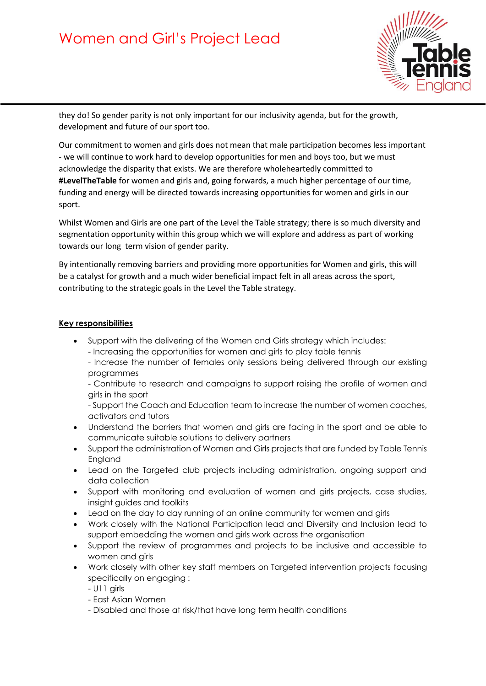# Women and Girl's Project Lead



they do! So gender parity is not only important for our inclusivity agenda, but for the growth, development and future of our sport too.

Our commitment to women and girls does not mean that male participation becomes less important - we will continue to work hard to develop opportunities for men and boys too, but we must acknowledge the disparity that exists. We are therefore wholeheartedly committed to **#LevelTheTable** for women and girls and, going forwards, a much higher percentage of our time, funding and energy will be directed towards increasing opportunities for women and girls in our sport.

Whilst Women and Girls are one part of the Level the Table strategy; there is so much diversity and segmentation opportunity within this group which we will explore and address as part of working towards our long term vision of gender parity.

By intentionally removing barriers and providing more opportunities for Women and girls, this will be a catalyst for growth and a much wider beneficial impact felt in all areas across the sport, contributing to the strategic goals in the Level the Table strategy.

### **Key responsibilities**

- Support with the delivering of the Women and Girls strategy which includes:
	- Increasing the opportunities for women and girls to play table tennis
	- Increase the number of females only sessions being delivered through our existing programmes
	- Contribute to research and campaigns to support raising the profile of women and girls in the sport

- Support the Coach and Education team to increase the number of women coaches, activators and tutors

- Understand the barriers that women and girls are facing in the sport and be able to communicate suitable solutions to delivery partners
- Support the administration of Women and Girls projects that are funded by Table Tennis England
- Lead on the Targeted club projects including administration, ongoing support and data collection
- Support with monitoring and evaluation of women and girls projects, case studies, insight guides and toolkits
- Lead on the day to day running of an online community for women and girls
- Work closely with the National Participation lead and Diversity and Inclusion lead to support embedding the women and girls work across the organisation
- Support the review of programmes and projects to be inclusive and accessible to women and girls
- Work closely with other key staff members on Targeted intervention projects focusing specifically on engaging :
	- U11 girls
	- East Asian Women
	- Disabled and those at risk/that have long term health conditions